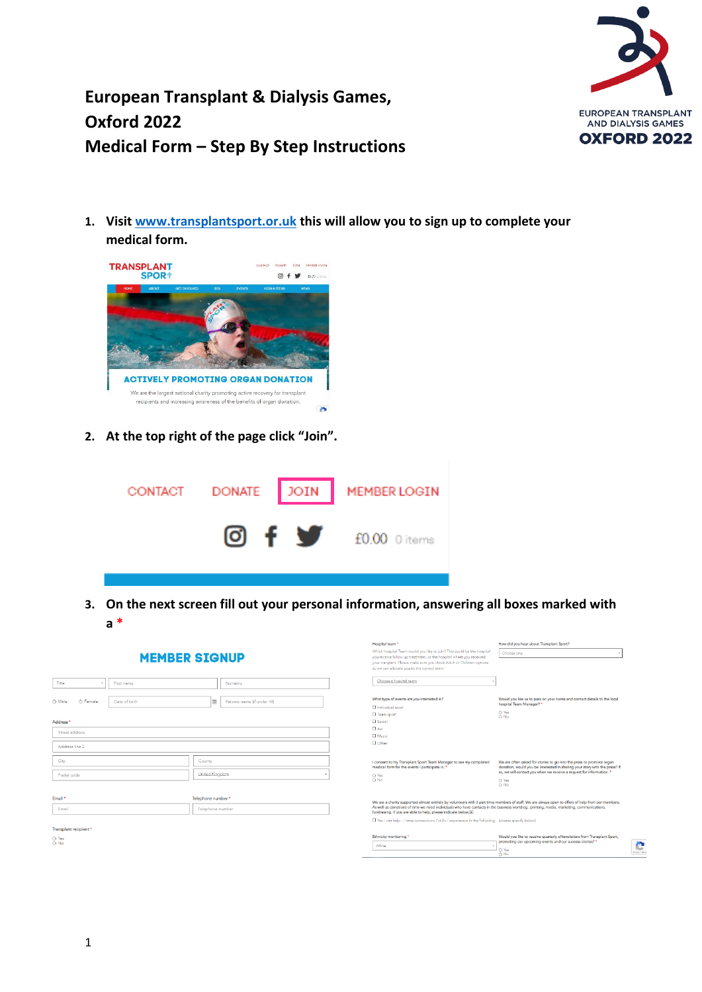

### **European Transplant & Dialysis Games, Oxford 2022 Medical Form – Step By Step Instructions**

**1. Visi[t www.transplantsport.or.uk](http://www.transplantsport.or.uk/) this will allow you to sign up to complete your medical form.**



**2. At the top right of the page click "Join".** 



**3. On the next screen fill out your personal information, answering all boxes marked with a \***

|  | <b>MEMBER SIGNUP</b> |  |
|--|----------------------|--|

| Title                        |               |                   |                            |
|------------------------------|---------------|-------------------|----------------------------|
| $_{\rm v}$                   | First name    |                   | Surname                    |
| O Female<br>O Male           | Date of birth | $\frac{1}{2}$     | Parents name (if under 18) |
| Address *                    |               |                   |                            |
| Street address               |               |                   |                            |
| Address line 2               |               |                   |                            |
| City                         |               | County            |                            |
| Postal code                  |               | United Kingdom    | $\mathbf{v}$               |
|                              |               |                   |                            |
| Email *                      |               | Telephone number* |                            |
| Email                        |               | Telephone number  |                            |
| Transplant recipient *       |               |                   |                            |
| $O$ Yes<br>$\overline{O}$ No |               |                   |                            |

| Hospital team <sup>*</sup><br>Which hospital Team would you like to join? This could be the hospital<br>you receive follow up treatment, or the hospital where you received<br>your tranplant. Please make sure you check Adult or Children options.<br>so we can allocate you to the correct team.<br>Choose a hospital team. | How did you hear about Transplant Sport?<br>Choose one                                                                                                                                                                     |  |
|--------------------------------------------------------------------------------------------------------------------------------------------------------------------------------------------------------------------------------------------------------------------------------------------------------------------------------|----------------------------------------------------------------------------------------------------------------------------------------------------------------------------------------------------------------------------|--|
| What type of events are you interested in?<br>□ Individual sport<br><b>D</b> Team sport                                                                                                                                                                                                                                        | Would you like us to pass on your name and contact details to the local<br>hospital Team Manager? *<br>O Yes<br>O No                                                                                                       |  |
| $\Box$ Social<br>□ Art<br><b>El Music</b><br><b>D</b> Other                                                                                                                                                                                                                                                                    |                                                                                                                                                                                                                            |  |
| I consent to my Transplant Sport Team Manager to see my completed<br>medical form for the events I participate in. *                                                                                                                                                                                                           | We are often asked for stories to go into the press to promote organ<br>donation, would you be interested in sharing your story with the press? If<br>so, we will contact you when we receive a request for information. * |  |
| $O$ Yes<br>O No                                                                                                                                                                                                                                                                                                                | O Yes<br>∩ No                                                                                                                                                                                                              |  |
| As well as donations of time we need individuals who have contacts in the business world eg printing, media, marketing, communications,<br>fundraising. If you are able to help, please indicate below; b.                                                                                                                     | We are a charity supported almost entirely by volunteers with 3 part time members of staff. We are always open to offers of help from our members.                                                                         |  |
| T Yes I can help - I have connections / skills / experience in the following (please specify below)                                                                                                                                                                                                                            |                                                                                                                                                                                                                            |  |
| Ethnicity monitoring *<br>White                                                                                                                                                                                                                                                                                                | Would you like to receive quarterly eNewsletters from Transplant Sport.<br>promoting our upcoming events and our success stories? *<br>O Yes                                                                               |  |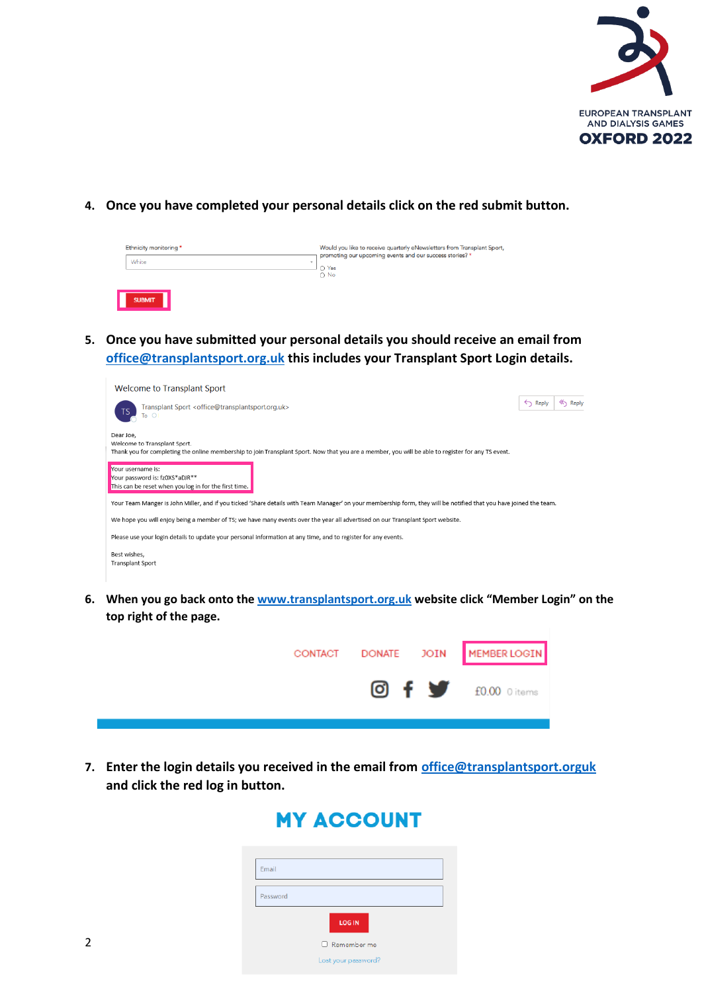

### **4. Once you have completed your personal details click on the red submit button.**

| Ethnicity monitoring *            | Would you like to receive quarterly eNewsletters from Transplant Sport,<br>promoting our upcoming events and our success stories? * |
|-----------------------------------|-------------------------------------------------------------------------------------------------------------------------------------|
| White<br>$\overline{\phantom{a}}$ | O Yes<br>$\bigcirc$ No                                                                                                              |
|                                   |                                                                                                                                     |
| <b>SUBMIT</b>                     |                                                                                                                                     |

**5. Once you have submitted your personal details you should receive an email from [office@transplantsport.org.uk](mailto:office@transplantsport.org.uk) this includes your Transplant Sport Login details.**

| Welcome to Transplant Sport                                                                                                                                                                     |             |                  |
|-------------------------------------------------------------------------------------------------------------------------------------------------------------------------------------------------|-------------|------------------|
| Transplant Sport <office@transplantsport.org.uk><br/>TS<br/>To <math>\circ</math></office@transplantsport.org.uk>                                                                               | $\xi$ Reply | <b>Kry</b> Reply |
| Dear Joe,<br>Welcome to Transplant Sport.<br>Thank you for completing the online membership to join Transplant Sport. Now that you are a member, you will be able to register for any TS event. |             |                  |
| Your username is:<br>Your password is: fz0XS*aDJR**<br>This can be reset when you log in for the first time.                                                                                    |             |                  |
| Your Team Manger is John Miller, and if you ticked 'Share details with Team Manager' on your membership form, they will be notified that you have joined the team.                              |             |                  |
| We hope you will enjoy being a member of TS; we have many events over the year all advertised on our Transplant Sport website.                                                                  |             |                  |
| Please use your login details to update your personal information at any time, and to register for any events.                                                                                  |             |                  |
| Best wishes.<br>Transplant Sport                                                                                                                                                                |             |                  |

**6. When you go back onto the [www.transplantsport.org.uk](http://www.transplantsport.org.uk/) website click "Member Login" on the top right of the page.**



**7. Enter the login details you received in the email from [office@transplantsport.orguk](mailto:office@transplantsport.orguk) and click the red log in button.**

## **MY ACCOUNT**

| Email    |                     |  |
|----------|---------------------|--|
|          |                     |  |
| Password |                     |  |
|          | <b>LOG IN</b>       |  |
|          | □ Remember me       |  |
|          | Lost your password? |  |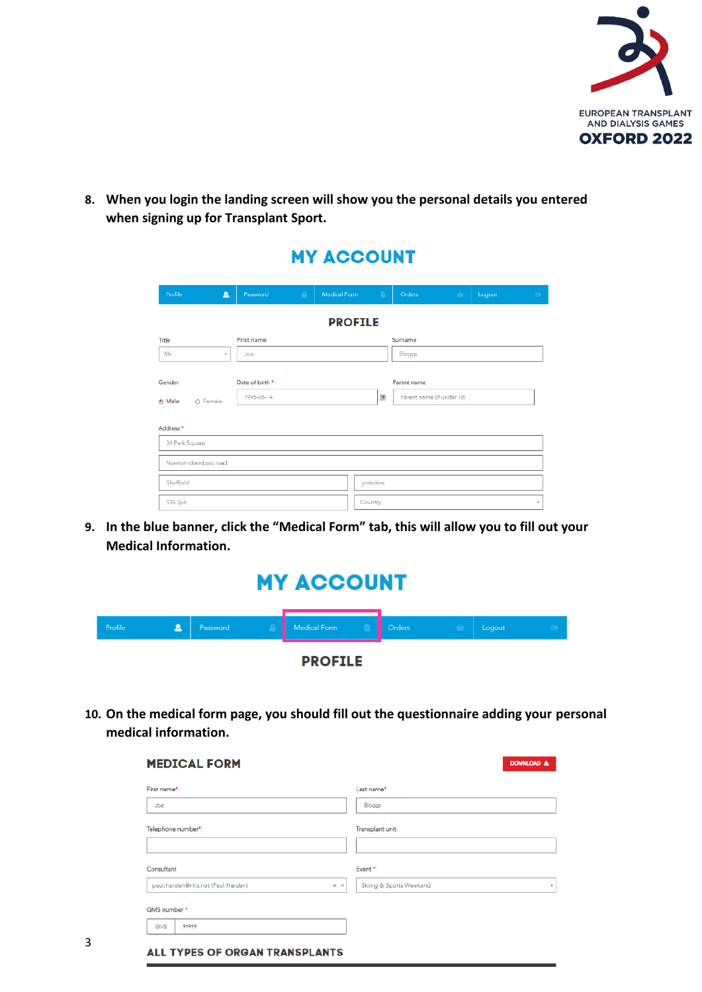

**8. When you login the landing screen will show you the personal details you entered when signing up for Transplant Sport.**

MY ACCOUNT

|                                                      |       |                               |             | <b>MI AUUUNI</b> |                           |                                          |               |                  |
|------------------------------------------------------|-------|-------------------------------|-------------|------------------|---------------------------|------------------------------------------|---------------|------------------|
| Profile                                              | Δ     | Password                      | $\triangle$ | Medical Form     | a.                        | Orders                                   | for<br>Logout | $\Theta^{\star}$ |
|                                                      |       |                               |             | <b>PROFILE</b>   |                           |                                          |               |                  |
| Title                                                |       | First name                    |             |                  |                           | Surname                                  |               |                  |
| Mr.                                                  | $\pi$ | Joe                           |             |                  |                           | Bloggs                                   |               |                  |
| Gender<br>O Male<br>O Female<br>Address <sup>*</sup> |       | Date of birth *<br>1995-08-14 |             |                  | $\overline{\mathbb{R}^n}$ | Parent name<br>Parent name (if under 18) |               |                  |
| 04 Park Square                                       |       |                               |             |                  |                           |                                          |               |                  |
| Newton chambers road                                 |       |                               |             |                  |                           |                                          |               |                  |
| Sheffield                                            |       |                               |             |                  | yorkshire                 |                                          |               |                  |
| S35 2ph                                              |       |                               |             |                  | Country                   |                                          |               | $\psi$           |

**9. In the blue banner, click the "Medical Form" tab, this will allow you to fill out your Medical Information.**

| <b>MY ACCOUNT</b> |   |          |  |              |  |               |               |        |  |
|-------------------|---|----------|--|--------------|--|---------------|---------------|--------|--|
| Profile           | Ω | Password |  | Medical Form |  | <b>Orders</b> | $\rightarrow$ | Logout |  |
| <b>PROFILE</b>    |   |          |  |              |  |               |               |        |  |

**10. On the medical form page, you should fill out the questionnaire adding your personal medical information.**

| <b>MEDICAL FORM</b>                                      | DOWNLOAD &                              |
|----------------------------------------------------------|-----------------------------------------|
| First name*                                              | Last name*                              |
| Joe                                                      | Bloggs                                  |
| Telephone number*                                        | Transplant unit                         |
|                                                          |                                         |
| Consultant                                               | Event*                                  |
| paul.harden@nhs.net (Paul Harden)<br>$\times$ $\sqrt{ }$ | Skiing & Sports Weekend<br>$\mathbf{w}$ |
| GMS number*                                              |                                         |
|                                                          |                                         |

3